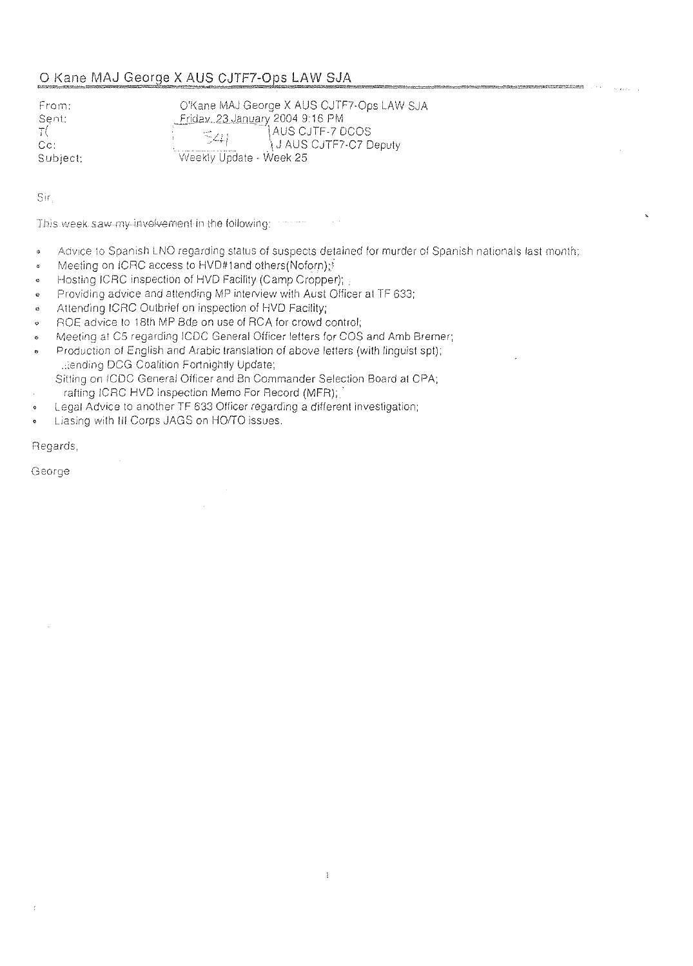# O Kane MAJ George X AUS CJTF7-Ops LAW SJA

From: Sent: T( Cc: Subject:

O'Kane MAJ George X AUS CJTF7-Ops LAW SJA Friday, 23 January 2004 9:16 PM AUS CJTF-7 DCOS  $\mathbb{Z}_{44}$ J AUS CJTF7-C7 Deputy Weekly Update - Week 25

Sir.

This week saw my involvement in the following:

Advice to Spanish LNO regarding status of suspects detained for murder of Spanish nationals last month; ¢

 $\mathbf{I}$ 

- Meeting on ICRC access to HVD#1and others(Noforn): ¢
- Hosting ICRC inspection of HVD Facility (Camp Cropper); ø
- Providing advice and attending MP interview with Aust Officer at TF 633;  $\circ$
- Attending ICRC Outbrief on inspection of HVD Facility; ö
- ROE advice to 18th MP Bde on use of RCA for crowd control;  $\circ$
- Meeting at C5 regarding ICDC General Officer letters for COS and Amb Bremer;
- Production of English and Arabic translation of above letters (with linguist spt); diending DCG Coalition Fortnightly Update;
	- Sitting on ICDC General Officer and Bn Commander Selection Board at CPA;
	- rafting ICRC HVD Inspection Memo For Record (MFR);
- Legal Advice to another TF 633 Officer regarding a different investigation;
- Liasing with III Corps JAGS on HO/TO issues.

Regards,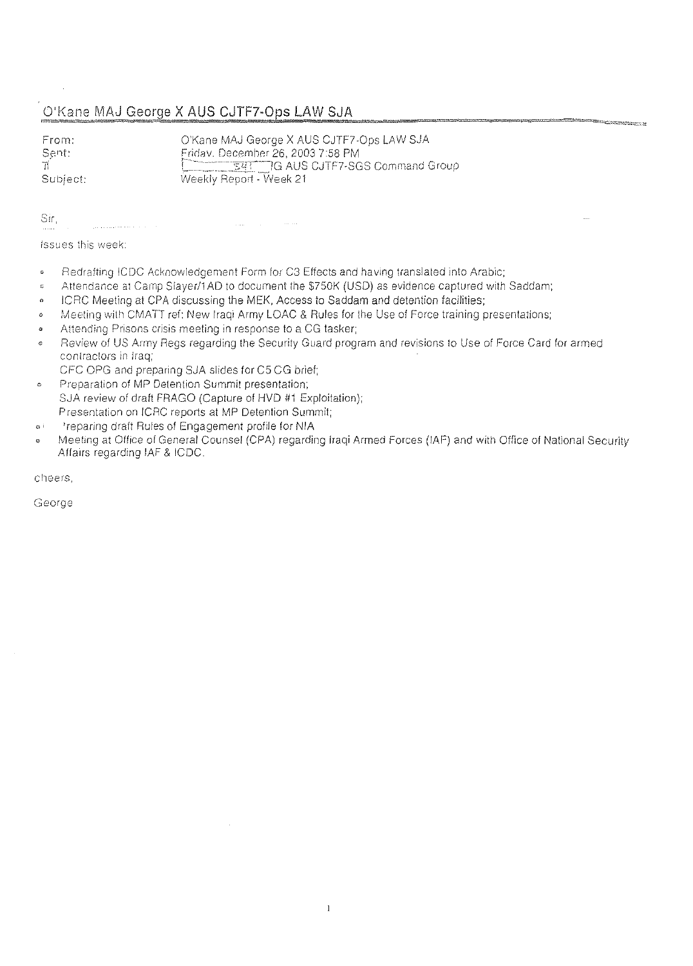# O'Kane MAJ George X AUS CJTF7-Ops LAW SJA

From: Sent:<br>Ti Subject: O'Kane MAJ George X AUS CJTF7-Ops LAW SJA Fridav. December 26, 2003 7:58 PM C<sup>20</sup> S41 G AUS CJTF7-SGS Command Group Weekly Report - Week 21

<u> Maria Mandango Mareju n</u>

Sir,

Issues this week:

- Redrafting ICDC Acknowledgement Form lor C3 EHects and having translaled into Arabic;  $\mathbf{c}$
- Attendance at Camp Slayer/1AD to document the \$750K (USD) as evidence captured with Saddam; ¢

للمناسب

. ICRC Meeting at CPA discussing the MEK, Access to Saddam and detention facilities;

المستعملة

- , I'vleeling wilh CMATT ref: New Iraqi Army LOAC & Rules for the Use of Force training presentations;
- <sup>o</sup>Attending Prisons crisis meeting in response to a CG tasker;
- <sup>o</sup> Review of US Army Regs regarding the Security Guard program and revisions to Use of Force Card for armed contractors in Iraq;
- CFC OPG and preparing SJA slides for C5 CG brief;
- <sup>c</sup>Preparation of MP Detention Summit presentation; SJA review of draft FRAGO (Capture of HVD #1 Exploitation); Presentation on ICRC reports at MP Detention Summit;
- 0' 'reparing drafi Rules of Engagement profile for NIA
- o Meeting at Office of General Counsel (CPA) regarding Iraqi Armed Forces (IAF) and with Office of National Security Affairs regarding IAF & ICDC.

cheers,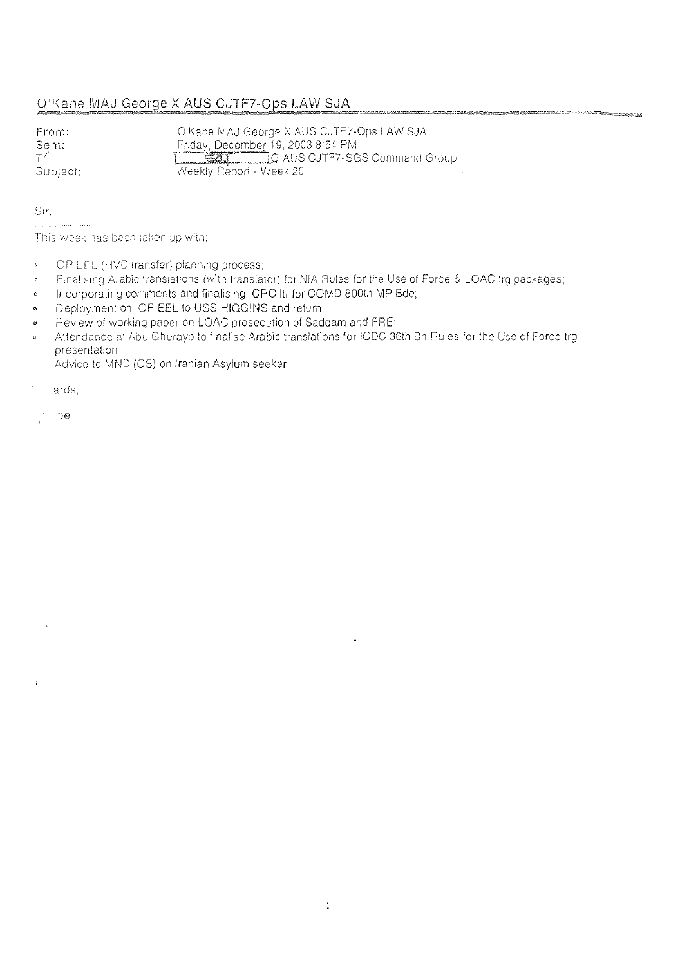# O'Kane MAJ George X AUS CJTF7-Ops LAW SJA

From: Seni: T( Subject:

O'Kane MAJ George X AUS CJTF7-Ops LAW SJA Friday, December 19,2003854 PM  $L = 34L$   $L = 16$  AUS CJTF7-SGS Command Group \Veek!y Repori - Vveek 20

.<br>Waxaa intii waxaa kale dheer iyo dhamaanka waxaa ka dheer iyo dheer iyo dheer iyo dheer iyo dheer iyo dheer i<br>Marka Afrika Afrika Afrika Afrika Afrika Afrika Afrika Afrika Afrika Afrika Afrika Afrika Afrika Afrika Afrika

Sir.

This week has been taken up with:

- OP EEL (HVD transfer) planning process; ¢
- Finalising Arabic translations (with translator) for NIA Rules for the Use of Force & LOAC trg packages; G
- , Incorporating comments and finalising ICRC Itr for COMD 800th MP Bde;
- o Deployment on OP EEL to USS HIGGINS and return;
- , Review of wmklng paper on LOAC prosecution of Saddam and FRE;
- Attendance at Abu Ghurayb to finalise Arabic translations for ICDC 36th Bn Rules for the Use of Force trg presentation

Advice to MND (CS) on Iranian Asylum seeker

3rds,

 $7e$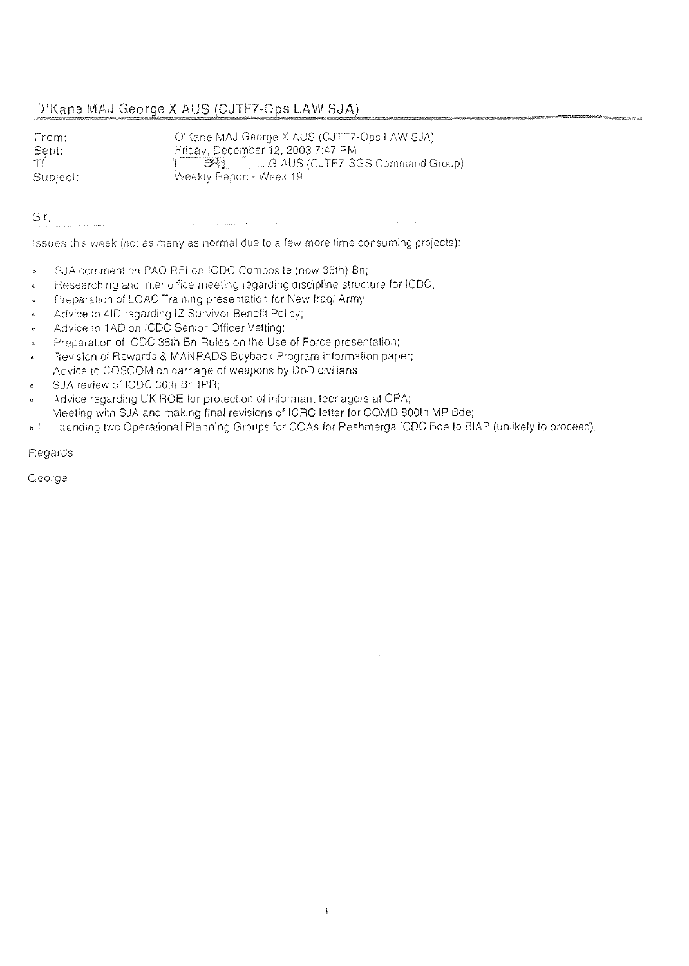#### )'Kane MAJ George X AUS (CJTF7-Ops LAW SJA)

From: Sent: T( Suojeet:

O'Kane MAJ George X AUS (CJTF7-Ops LAW SJA) Friday, December 12, 2003 7:47 PM 1-SAI J.J. C. AUS (CJTF7-SGS Command Group) Week!y Repon . Week 19

Sir.

issues this week (not as many as normal due to a few more time consuming projects):

- o SJA comment on PAO RFI on ICDC Composite (now 36th) Bn;
- . Researching and inter office meeting regarding discipline structure for ICDC;

الجلوان المتحدث وورود والمناطق

- , Preparation of LOAC Training presentation for New Iraqi Army;
- , Advice to 410 regarding IZ Survivor Benefit Policy;
- o Advice to 1AD on ICDC Senior Officer Vetting;

and the state of the state of the

- o Preparation of ICDC 36th Bn Rules on the Use of Force presentation;
- Revision of Rewards & MANPADS Buyback Program information paper;  $\overline{a}$ Advice to COSCOM on carriage of weapons by DoD civilians;
- $\cdot$  SJA review of ICDC 36th Bn IPR;
- Advice regarding UK ROE for protection of informant teenagers at CPA; Meeting with SJA and making final revisions of ICRC letter for COMD 800th MP Bde;
- " [tending two Operational Planning Groups for COAs for Peshmerga ICDC Bde to BIAP (unlikely to proceed),

Regards,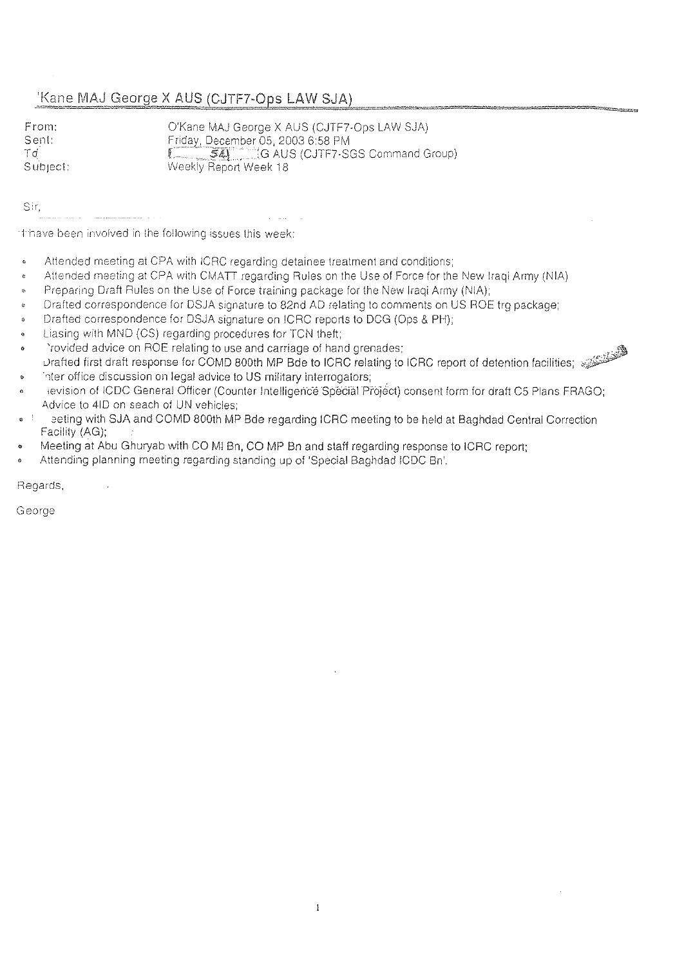# 'Kane MAJ George X AUS (CJTF7-Ops LAW SJA)

Td Subject:

From: O'Kane MAJ George X AUS (CJTF7-Ops LAW SJA) Sent: Friday, December 05, 2003 6:58 PM **Little SAL, and Group)** G AUS (CJTF7-SGS Command Group) Weekly Report Week 18

Sir,

-I -have been involved in ihe following issues this week'

- Attended meeting at CPA with ICRC regarding detainee treatment and conditions;
- Attended meeting at CPA with CMATT regarding Rules on the Use of Force for the New Iraqi Army (NIA)  $\epsilon$
- Preparing Draft Rules on the Use of Force training package for the New Iraqi Army (NIA); é.
- Drafted correspondence for DSJA signature to 82nd AD relating to comments on US ROE trg package;  $\alpha$
- Drafted correspondence for DSJA signature on ICRC reports to DCG (Ops & PH); ó
- Liasing with MND (CS) regarding procedures for TCN theft;
- $\sim$  rovided advice on ROE relating to use and carriage of hand grenades;  $\sim$ cJrafted first draft response for COMO 800th MP Bde to ICRC relating to ICRC report of detention facilities; \_ *jP'-*
- nter office discussion on legal advice to US military interrogators;
- ievision of ICDC General Officer (Counter Intelligerice Special Project) consent form for draft C5 Plans FRAGO; Advice to 410 on seach of UN vehicles;
- 2eting with SJA and COMD 800th MP Bde regarding ICRC meeting to be held at Baghdad Central Correction Facility (AG);
- Meeting at Abu Ghuryab with CO MI Bn, CO MP Bn and staff regarding response to ICRC report;
- Attending planning meeting regarding standing up of 'Special Baghdad ICDC Bn',

Regards,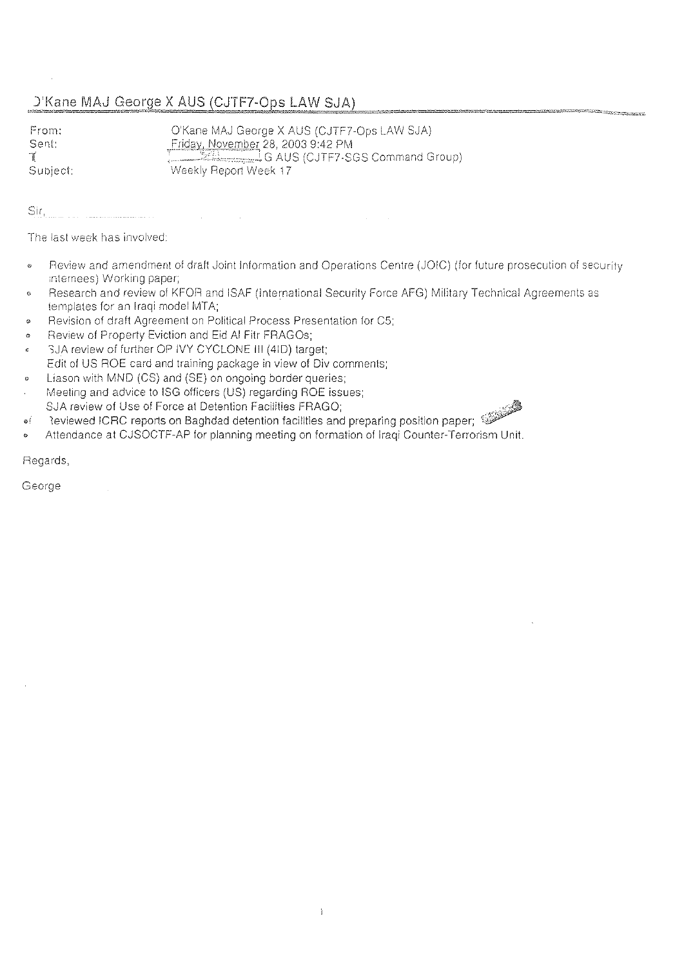# D'Kane MAJ George X AUS (CJTF7-Ops LAW SJA)

From: Senf<sup>\*</sup>  $\pi$ Subject;

O'Kane MAJ George X AUS (CJTF7-Ops LAW SJA) Friday, November 28, 2003 9:42 PM G AUS (CJTF7-SGS Command Group) Weekly Report Week 17

The last week has involved:

- Review and amendment of draft Joint Information and Operations Centre (JOIC) (for future prosecution of security  $\ddot{\circ}$ internees) Working paper;
- Research and review of KFOR and ISAF (International Security Force AFG) Military Technical Agreements as  $\alpha$ templates for an Iragi model MTA;

 $\mathbf i$ 

Revision of draft Agreement on Political Process Presentation for C5;  $\circ$ 

 $\label{eq:2.1} \frac{1}{\sqrt{2}}\int_{\mathbb{R}^3}\frac{1}{\sqrt{2}}\left(\frac{1}{\sqrt{2}}\right)^2\frac{1}{\sqrt{2}}\left(\frac{1}{\sqrt{2}}\right)^2\frac{1}{\sqrt{2}}\left(\frac{1}{\sqrt{2}}\right)^2\frac{1}{\sqrt{2}}\left(\frac{1}{\sqrt{2}}\right)^2.$ 

- Review of Property Eviction and Eid Al Fitr FRAGOs;
- SJA review of further OP IVY CYCLONE III (4ID) target;  $\epsilon$ Edit of US ROE card and training package in view of Div comments;
- Liason with MND (CS) and (SE) on ongoing border queries:  $\alpha$
- Meeting and advice to ISG officers (US) regarding ROE issues; SJA review of Use of Force at Detention Facilities FRAGO:
- Reviewed ICRC reports on Baghdad detention facilities and preparing position paper;  $\circ i$
- Attendance at CJSOCTF-AP for planning meeting on formation of Iraqi Counter-Terrorism Unit.

Regards,

George



a provincia de la contenentación de la contenentación de la contenentación de la contenentación de la contenen<br>La contenentación de la contenentación de la contenentación de la contenentación de la contenentación de la co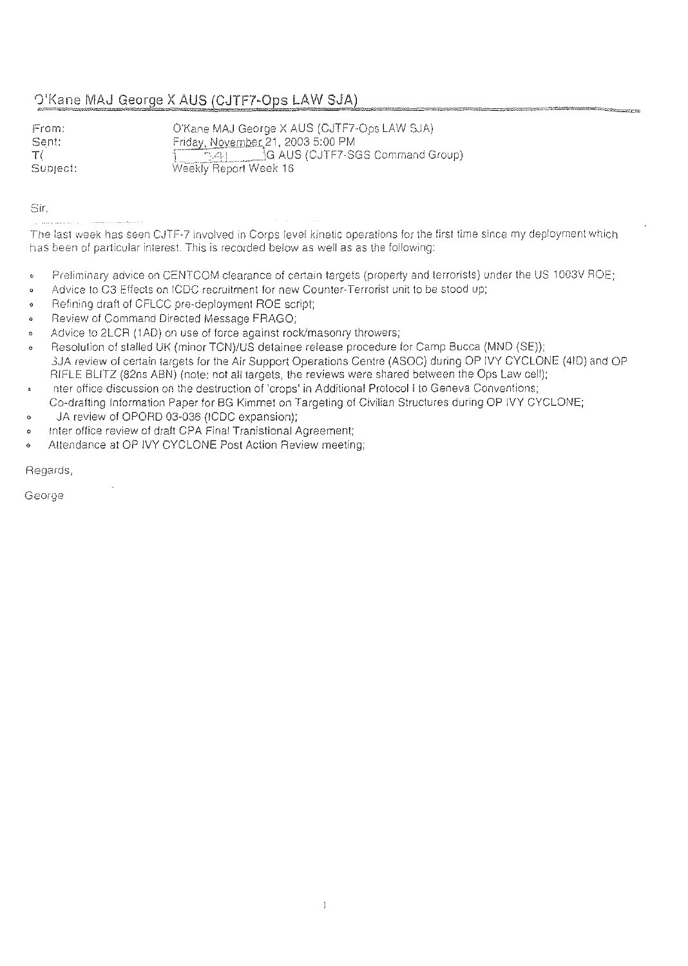# O'Kane MAJ George X AUS (CJTF7-Ops LAW SJA)

From: Sent: T( SUbJect: O'Kane MAJ George X AUS (CJTF7-Ops LAW SJA) Friday, November 21, 2003 5:00 PM  $\sqrt{24}$  ,  $\sqrt{2}$  ,  $\sqrt{2}$  G AUS (CJTF7-SGS Command Group) Weekly Report Week 16

Sir.

The last week has seen CJTF-7 involved in Corps level kinetic operations for the first time since my deployment which has been of particular interest. This is recorded below as well as as the following:

- Freliminary advice on CENTCOM clearance of certain targets (property and terrorists) under the US 1003V ROE;  $\ddot{\circ}$
- Advice to C3 Effects on ICDC recruitment for new Counter-Terrorist unit to be stood up;
- Refining draft of CFLCC pre-deployment ROE script;
- Review of Command Directed Message FRAGO;
- Advice to 2LCR (1AD) on use of force against rock/masonry throwers;
- Resolution of stalled UK (minor TCN)/US detainee release procedure for Camp Bucca (MND (SE)); 3JA review of certain targets for the Air Support Operations Centre (ASOC) during OP IVY CYCLONE (4ID) and OP RIFLE BLITZ (82ns ABN) (note: not all targets, the reviews were shared between the Ops Law cell);
- nter office discussion on the destruction of 'crops' in Additional Protocol I to Geneva Conventions; é Co-drafting Information Paper for BG Kimmet on Targeting of Civilian Structures during OP IVY CYCLONE;
- o JA review of OPORD 03-036 (lCDC expansion);
- o Inter office review of draft CPA Final Tranistional Agreement;
- Attendance at OP IVY CYCLONE Post Action Review meeting;

Regards,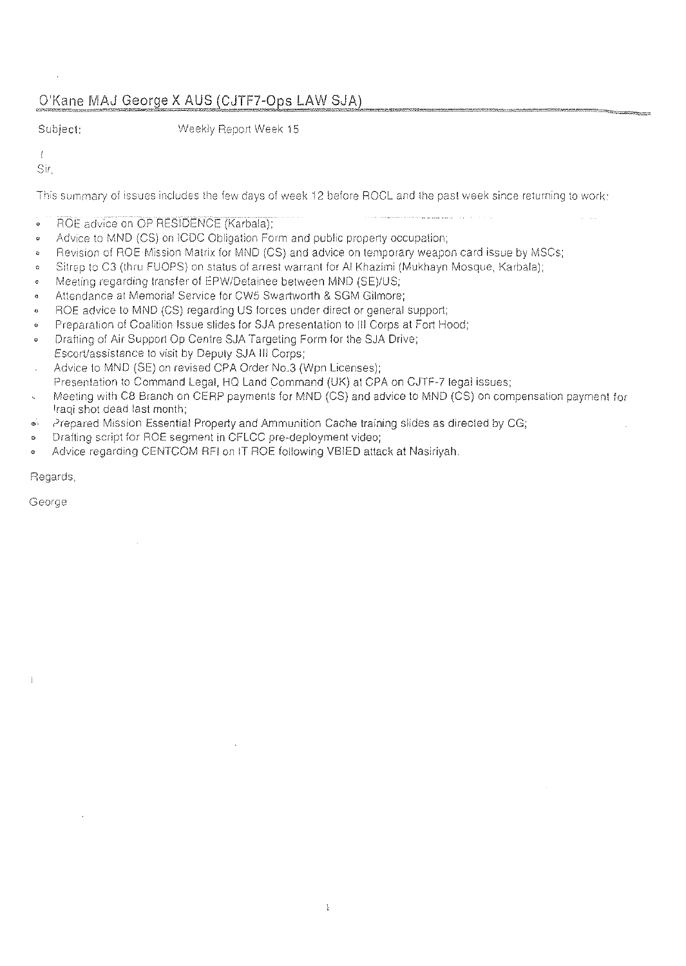# O'Kane MAJ George X AUS (CJTF7-Ops LAW SJA)

Subject:

Weekly Report Week 15

 $\overline{t}$ 

Sir.

This summary of issues includes the few days of week 12 before ROCL and the past week since returning to work:

- ROE advice on OP RESIDENCE (Karbala);
- Advice to MND (CS) on ICDC Obligation Form and public property occupation; Ġ
- Revision of ROE Mission Matrix for MND (CS) and advice on temporary weapon card issue by MSCs; è.
- Sitrep to C3 (thru FUOPS) on status of arrest warrant for AI Khazimi (Mukhayn Mosque, Karbala);  $\hat{v}$
- Meeting regarding transfer of EPW/Detainee between MND (SE)/US;  $\ddot{\circ}$
- Attendance at Memorial Service for CW5 Swartworth & SGM Gilmore; ¢
- ROE advice to MND (CS) regarding US forces under direct or general support; Ġ
- Preparation of Coalition Issue slides for SJA presentation to III Corps at Fort Hood; ø
- Drafting of Air Support Op Centre SJA Targeting Form for the SJA Drive; ó Escort/assistance to visit by Deputy SJA III Corps;
- Advice to MND (SE) on revised CPA Order No.3 (Wpn Licenses);
- Presentation to Command Legal, HQ Land Command (UK) at CPA on CJTF-7 legal issues;
- Meeting with C8 Branch on CERP payments for MND (CS) and advice to MND (CS) on compensation payment for Iraqi shot dead last month;
- Prepared Mission Essential Property and Ammunition Cache training slides as directed by CG;  $\ddot{\circ}$
- Drafting script for ROE segment in CFLCC pre-deployment video;
- Advice regarding CENTCOM RFI on IT ROE following VBIED attack at Nasiriyah. ó.

Regards,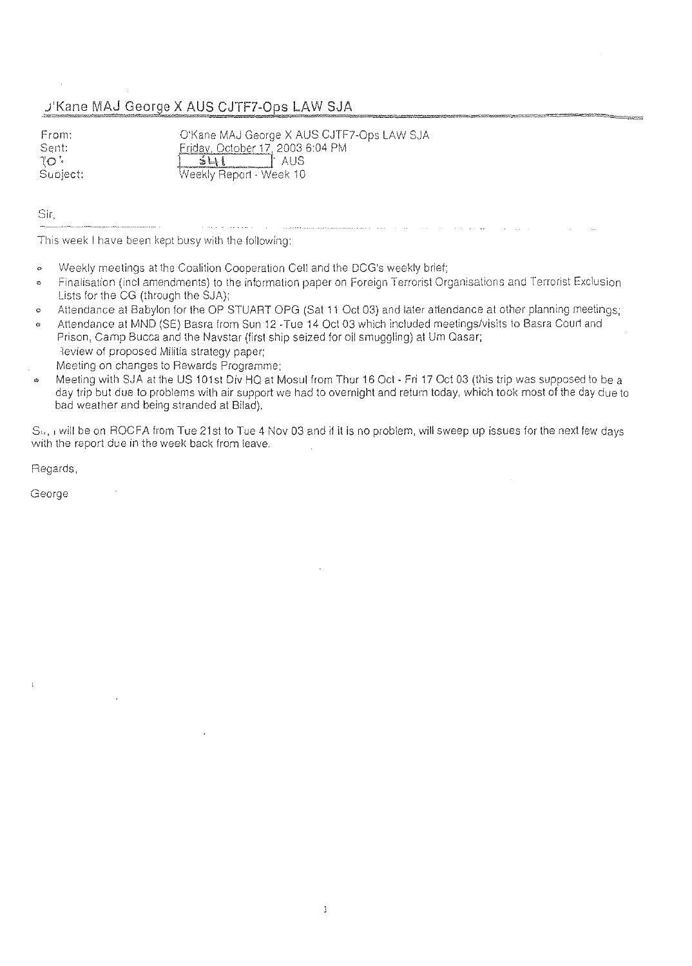# J'Kane MAJ George X AUS CJTF7-Ops LAW SJA

From: Sent:  $\overline{\mathcal{O}}$ . Supject: O'Kane MAJ George X AUS CJTF7-Ops LAW SJA Fridav, October 17, 2003 6:04 PM  $1/2$  AUS Weekly Report - Week 10

Sir,

This week I have been kept busy with the following:

- " Weekly meetings at the Coalition Cooperation Cell and the DCG's weekly brief;
- Finalisation (incl amendments) to the information paper on Foreign Terrorist Organisations and Terrorist Exclusion Lists for the CG (through the SJA);

an karang kalendar di karang karang pangangan di karang pangangan di karang pangangan di karang pangangan di k

- o Attendance at Babylon for the OP STUART OPG (Sat 11 Oct 03) and later attendance at other planning meetings;
- Attendance at MND (SE) Basra from Sun 12 -Tue 14 Oct 03 which included meetings/visits to Basra Court and Prison, Camp Bucca and the Navstar (first ship seized for oil smuggling) at Um Oasar; 1eview of proposed Militia strategy paper; Meeting on changes to Rewards Programme;
- Meeting with SJA at the US 101st Div HQ at Mosul from Thur 16 Oct Fri 17 Oct 03 (this trip was supposed to be a day trip but due to problems with air support we had to overnight and return today, which took most of the day due to bad weather and being stranded at Bilad),

 $S_{w,1}$  will be on ROCFA from Tue 21st to Tue 4 Nov 03 and if it is no problem, will sweep up issues for the next few days with the report due in the week back from leave,

Regards,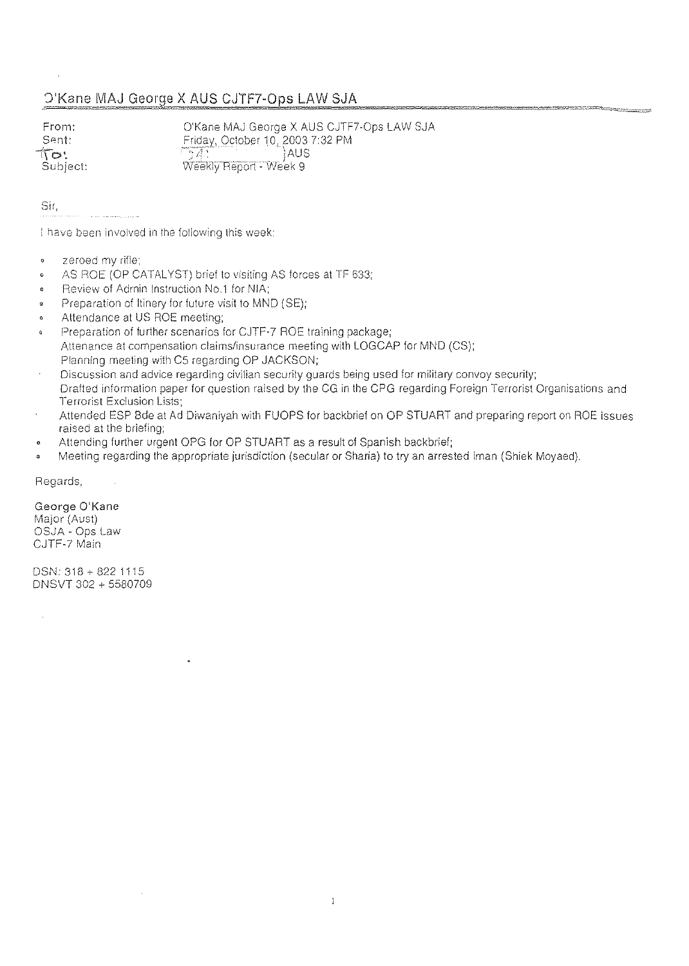# $D'$ Kane MAJ George X AUS CJTF7-Ops LAW SJA

From: Sent:  $\mathcal{T}$ o $\mathcal{T}$ Subject:

O'Kane MAJ George X AUS CJTF7-0ps LAW SJA  $\frac{[Finday, October 10, 2003 7:32 PM]}{[64]}\}$ Weekly Report - Week 9

<u> 2016 - 1920 - 1920 - 1930 - 1940 - 1940 - 1950 - 1950 - 1950 - 1950 - 1950 - 1950 - 1950 - 1950 - 1950 - 195</u>

**Sir,** 

I have been involved in the following this week:

- zeroed my rifle;  $\ddot{\phantom{0}}$
- . AS ROE (OP CATALYST) brief to visiting AS forces at TF 633;
- Peview of Admin Instruction No.1 for NIA;  $\ddot{\circ}$
- Preparation of Itinery for future visit to MND (SE);
- Attendance at US ROE meeting;  $\epsilon$
- Preparation of further scenarios for CJTF-7 ROE training package;  $\overline{a}$ Attenance at compensation claims/insurance meeting with LOGCAP for MND (CS); Planning meeting with C5 regarding OP JACKSON;
- Discussion and advice regarding civilian security guards being used for military convoy security; Drafted information paper for question raised by the CG in the CPG regarding Foreign Terrorist Organisations and Terrorist Exclusion Lists;
- Attended ESP Bde at Ad Diwaniyah with FUOPS for backbrief on OP STUAPT and preparing report on POE issues raised at the briefing;
- , Attending further urgent OPG for OP STUAPT as a result of Spanish backbrief;
- Meeting regarding the appropriate jurisdiction (secular or Sharia) to try an arrested Iman (Shiek Moyaed).  $\alpha$

Regards,

#### George O'Kane

Major (Aust) OSJA - Ops Law CJTF-7 Main

DSN: 318 + 822 1115 DNSVT 302 + 5580709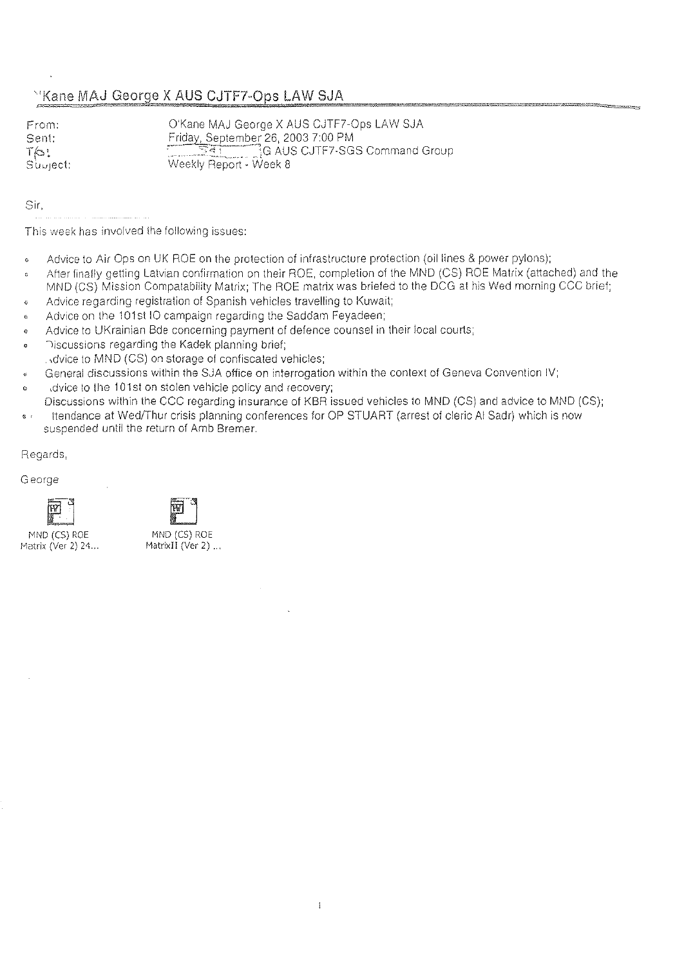# "Kane MAJ George X AUS CJTF7-Ops LAW SJA

From: **Sent: Tfo:**<br>Suuject:

O'Kane MAJ George X AUS CJTF7-0ps LAW SJA Friday, September 26, 2003 7:00 PM  $^{\frac{25}{3}}$ G AUS CJTF7-SGS Command Group Weekly Report - Week 8

Sir,

This week has involved the following issues:

- , Advice to Air Ops on UK ROE on the protection of infrastructure protection (oil lines & power pylons);
- After finally getting Latvian confirmation on their ROE, completion of the MND (CS) ROE Matrix (attached) and the  $\ddot{\circ}$ MND (CS) Mission Compatability Matrix; The ROE matrix was briefed 10 the DCG at his Wed morning CCC brief;
- Advice regarding registration of Spanish vehicles travelling to Kuwait;
- Advice on the 101st IO campaign regarding the Saddam Feyadeen;
- , Advice to UKrainian 8de concerning payment of defence counsel in their local courts;
- Discussions regarding the Kadek planning brief;  $\circ$ ,dvice to MND (CS) on storage of confiscated vehicles;
- General discussions within the SJA office on interrogation within the context of Geneva Convention IV;
- o, dvice to the 101st on stolen vehicle policy and recovery;
- Discussions within the CCC regarding insurance of KBR issued vehicles to MND (CS) and advice to MND (CS);

 $\mathbf{I}$ 

 $\bullet$  , ttendance at Wed/Thur crisis planning conferences for OP STUART (arrest of cleric AI Sadr) which is now suspended until the return of Amb Bremer.

Regards,

George



MND (CS) ROE **I <sup>v</sup>latrix (Ver 2) 24 ...** 



MatrixII (Ver 2) ...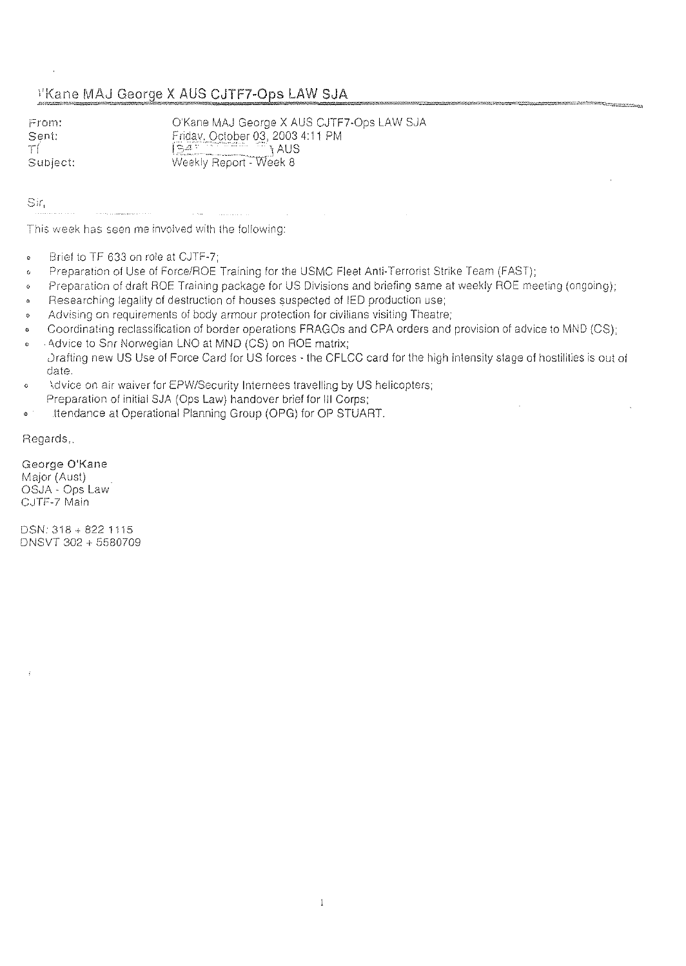# <sup>1</sup>Kane MAJ George X AUS CJTF7-Ops LAW SJA

From: Sent: Τſ Subject:

O'Kane MAJ George X AUS CJTF7-Ops LAW SJA Friday, October 03, 2003 4:11 PM<br>
Sattle 1 AUS<br>
Weekly Report - Week 8

 $\text{Sir}_1$ 

This week has seen me involved with the following:

- Brief to TF 633 on role at CJTF-7:  $\circ$
- Preparation of Use of Force/ROE Training for the USMC Fleet Anti-Terrorist Strike Team (FAST);  $\mathbf{G}$
- Preparation of draft ROE Training package for US Divisions and briefing same at weekly ROE meeting (ongoing);  $\alpha$
- Researching legality of destruction of houses suspected of IED production use; ¢

الداعا للتنبيذ

- Advising on requirements of body armour protection for civilians visiting Theatre;
- Coordinating reclassification of border operations FRAGOs and CPA orders and provision of advice to MND (CS): ۵
- Advice to Snr Norwegian LNO at MND (CS) on ROE matrix;  $\sim$ Drafting new US Use of Force Card for US forces - the CFLCC card for the high intensity stage of hostilities is out of date.
- Advice on air waiver for EPW/Security Internees travelling by US helicopters; ò Preparation of initial SJA (Ops Law) handover brief for III Corps;
- Itendance at Operational Planning Group (OPG) for OP STUART.  $\circ$

Regards,

George O'Kane Major (Aust) OSJA - Ops Law CJTF-7 Main

DSN: 318 + 822 1115 DNSVT 302 + 5580709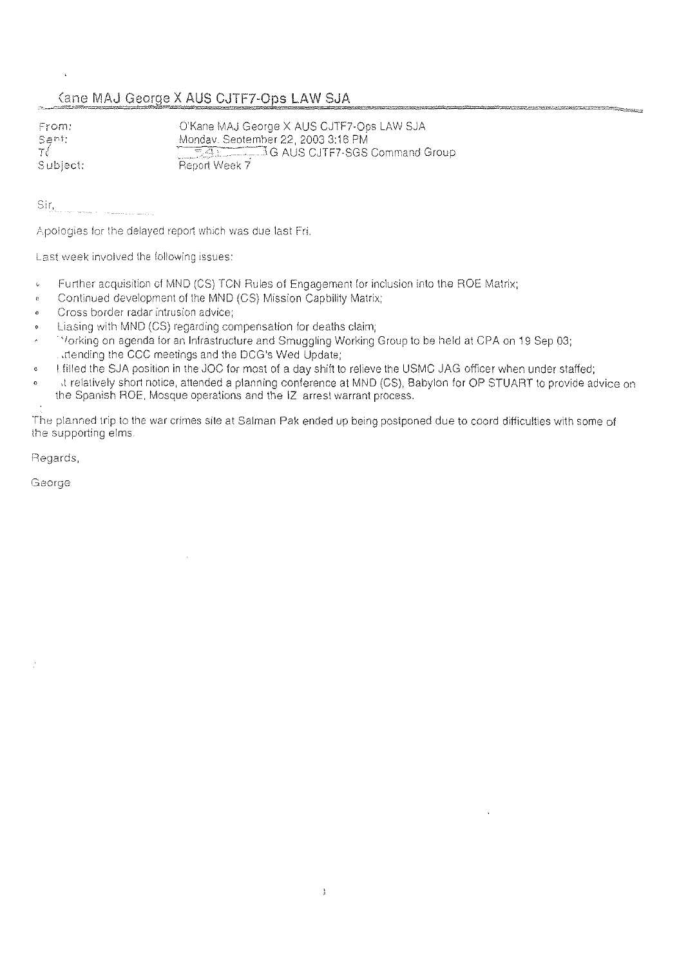#### Cane MAJ George X AUS CJTF7-Ops LAW SJA

Sent:  $T_{\rm c}$ Subject:

**Frorn:** O'Kane MAJ George X AUS CJTF7·0ps LAW SJA Mondav. Seolemher 22,20033:16 PM **GALECTIC AUS CJTF7-SGS Command Group** Report Week 7

Sir,

Apologies for the delayed report which was due last Fri.

Last week involved the following issues:

- Further acquisition of MND (CS) TCN Rules of Engagement for inclusion into the ROE Matrix;  $\epsilon$
- Continued development of the MND (CS) Mission Capbility Matrix;  $\alpha$
- Cross border radar intrusion advice;
- Liasing with MND (CS) regarding compensation for deaths claim;
- .<sup>11</sup>orking on agenda for an Infrastructure and Smuggling Working Group to be held at CPA on 19 Sep 03; ittending the CCC meetings and the DCG's Wed Update;
- I filled the SJA position in the JOC for most of a day shift to relieve the USMC JAG officer when under staffed;  $\overline{a}$
- $,$ t relatively short notice, attended a planning conference at MND (CS), Babylon for OP STUART to provide advice on the Spanish ROE, Mosque operations and the IZ arrest warrant process.

The planned trip to the war crimes site at Salman Pak ended up being postponed due to coord difficulties with some of the supporting elms.

ì

Regards,